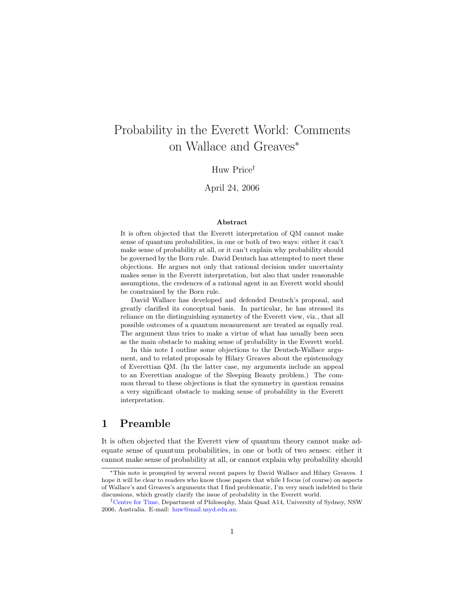# Probability in the Everett World: Comments on Wallace and Greaves<sup>∗</sup>

### Huw Price†

### April 24, 2006

#### Abstract

It is often objected that the Everett interpretation of QM cannot make sense of quantum probabilities, in one or both of two ways: either it can't make sense of probability at all, or it can't explain why probability should be governed by the Born rule. David Deutsch has attempted to meet these objections. He argues not only that rational decision under uncertainty makes sense in the Everett interpretation, but also that under reasonable assumptions, the credences of a rational agent in an Everett world should be constrained by the Born rule.

David Wallace has developed and defended Deutsch's proposal, and greatly clarified its conceptual basis. In particular, he has stressed its reliance on the distinguishing symmetry of the Everett view, viz., that all possible outcomes of a quantum measurement are treated as equally real. The argument thus tries to make a virtue of what has usually been seen as the main obstacle to making sense of probability in the Everett world.

In this note I outline some objections to the Deutsch-Wallace argument, and to related proposals by Hilary Greaves about the epistemology of Everettian QM. (In the latter case, my arguments include an appeal to an Everettian analogue of the Sleeping Beauty problem.) The common thread to these objections is that the symmetry in question remains a very significant obstacle to making sense of probability in the Everett interpretation.

# 1 Preamble

It is often objected that the Everett view of quantum theory cannot make adequate sense of quantum probabilities, in one or both of two senses: either it cannot make sense of probability at all, or cannot explain why probability should

<sup>∗</sup>This note is prompted by several recent papers by David Wallace and Hilary Greaves. I hope it will be clear to readers who know those papers that while I focus (of course) on aspects of Wallace's and Greaves's arguments that I find problematic, I'm very much indebted to their discussions, which greatly clarify the issue of probability in the Everett world.

<sup>†</sup>[Centre for Time,](http://www.usyd.edu.au/time/) Department of Philosophy, Main Quad A14, University of Sydney, NSW 2006, Australia. E-mail: [huw@mail.usyd.edu.au.](mailto:huw@mail.usyd.edu.au)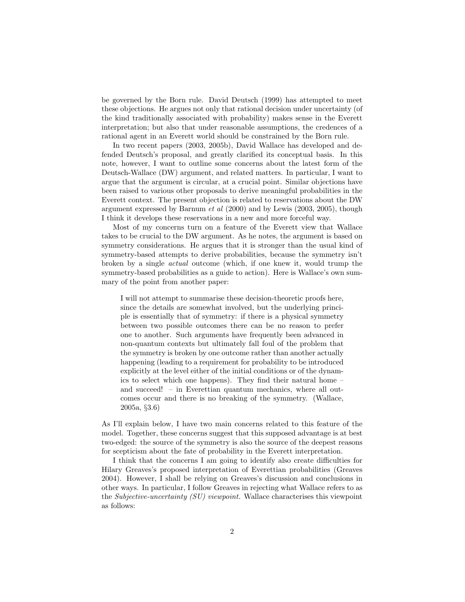be governed by the Born rule. David Deutsch (1999) has attempted to meet these objections. He argues not only that rational decision under uncertainty (of the kind traditionally associated with probability) makes sense in the Everett interpretation; but also that under reasonable assumptions, the credences of a rational agent in an Everett world should be constrained by the Born rule.

In two recent papers (2003, 2005b), David Wallace has developed and defended Deutsch's proposal, and greatly clarified its conceptual basis. In this note, however, I want to outline some concerns about the latest form of the Deutsch-Wallace (DW) argument, and related matters. In particular, I want to argue that the argument is circular, at a crucial point. Similar objections have been raised to various other proposals to derive meaningful probabilities in the Everett context. The present objection is related to reservations about the DW argument expressed by Barnum et al (2000) and by Lewis (2003, 2005), though I think it develops these reservations in a new and more forceful way.

Most of my concerns turn on a feature of the Everett view that Wallace takes to be crucial to the DW argument. As he notes, the argument is based on symmetry considerations. He argues that it is stronger than the usual kind of symmetry-based attempts to derive probabilities, because the symmetry isn't broken by a single actual outcome (which, if one knew it, would trump the symmetry-based probabilities as a guide to action). Here is Wallace's own summary of the point from another paper:

I will not attempt to summarise these decision-theoretic proofs here, since the details are somewhat involved, but the underlying principle is essentially that of symmetry: if there is a physical symmetry between two possible outcomes there can be no reason to prefer one to another. Such arguments have frequently been advanced in non-quantum contexts but ultimately fall foul of the problem that the symmetry is broken by one outcome rather than another actually happening (leading to a requirement for probability to be introduced explicitly at the level either of the initial conditions or of the dynamics to select which one happens). They find their natural home – and succeed! – in Everettian quantum mechanics, where all outcomes occur and there is no breaking of the symmetry. (Wallace, 2005a, §3.6)

As I'll explain below, I have two main concerns related to this feature of the model. Together, these concerns suggest that this supposed advantage is at best two-edged: the source of the symmetry is also the source of the deepest reasons for scepticism about the fate of probability in the Everett interpretation.

I think that the concerns I am going to identify also create difficulties for Hilary Greaves's proposed interpretation of Everettian probabilities (Greaves 2004). However, I shall be relying on Greaves's discussion and conclusions in other ways. In particular, I follow Greaves in rejecting what Wallace refers to as the Subjective-uncertainty (SU) viewpoint. Wallace characterises this viewpoint as follows: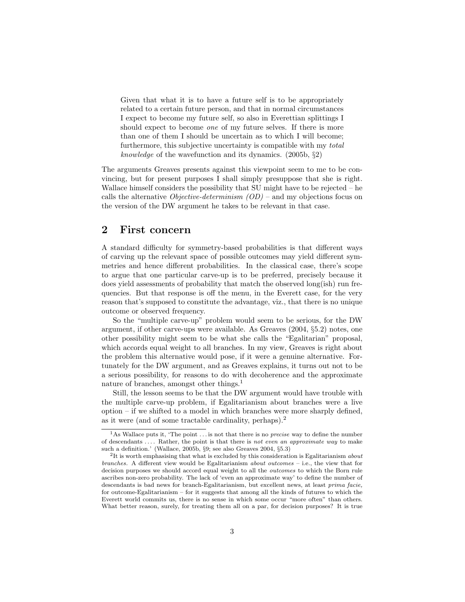Given that what it is to have a future self is to be appropriately related to a certain future person, and that in normal circumstances I expect to become my future self, so also in Everettian splittings I should expect to become one of my future selves. If there is more than one of them I should be uncertain as to which I will become; furthermore, this subjective uncertainty is compatible with my total knowledge of the wavefunction and its dynamics. (2005b, §2)

The arguments Greaves presents against this viewpoint seem to me to be convincing, but for present purposes I shall simply presuppose that she is right. Wallace himself considers the possibility that SU might have to be rejected – he calls the alternative *Objective-determinism*  $(OD)$  – and my objections focus on the version of the DW argument he takes to be relevant in that case.

# 2 First concern

A standard difficulty for symmetry-based probabilities is that different ways of carving up the relevant space of possible outcomes may yield different symmetries and hence different probabilities. In the classical case, there's scope to argue that one particular carve-up is to be preferred, precisely because it does yield assessments of probability that match the observed long(ish) run frequencies. But that response is off the menu, in the Everett case, for the very reason that's supposed to constitute the advantage, viz., that there is no unique outcome or observed frequency.

So the "multiple carve-up" problem would seem to be serious, for the DW argument, if other carve-ups were available. As Greaves (2004, §5.2) notes, one other possibility might seem to be what she calls the "Egalitarian" proposal, which accords equal weight to all branches. In my view, Greaves is right about the problem this alternative would pose, if it were a genuine alternative. Fortunately for the DW argument, and as Greaves explains, it turns out not to be a serious possibility, for reasons to do with decoherence and the approximate nature of branches, amongst other things.<sup>[1](#page-2-0)</sup>

Still, the lesson seems to be that the DW argument would have trouble with the multiple carve-up problem, if Egalitarianism about branches were a live option – if we shifted to a model in which branches were more sharply defined, as it were (and of some tractable cardinality, perhaps).[2](#page-2-1)

<span id="page-2-0"></span><sup>&</sup>lt;sup>1</sup>As Wallace puts it, 'The point  $\dots$  is not that there is no *precise* way to define the number of descendants  $\dots$ . Rather, the point is that there is not even an approximate way to make such a definition.' (Wallace, 2005b, §9; see also Greaves 2004, §5.3)

<span id="page-2-1"></span><sup>&</sup>lt;sup>2</sup>It is worth emphasising that what is excluded by this consideration is Egalitarianism about branches. A different view would be Egalitarianism about outcomes – i.e., the view that for decision purposes we should accord equal weight to all the outcomes to which the Born rule ascribes non-zero probability. The lack of 'even an approximate way' to define the number of descendants is bad news for branch-Egalitarianism, but excellent news, at least prima facie, for outcome-Egalitarianism – for it suggests that among all the kinds of futures to which the Everett world commits us, there is no sense in which some occur "more often" than others. What better reason, surely, for treating them all on a par, for decision purposes? It is true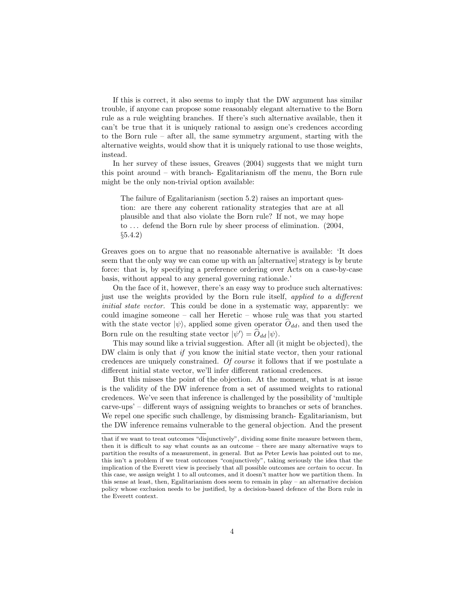If this is correct, it also seems to imply that the DW argument has similar trouble, if anyone can propose some reasonably elegant alternative to the Born rule as a rule weighting branches. If there's such alternative available, then it can't be true that it is uniquely rational to assign one's credences according to the Born rule – after all, the same symmetry argument, starting with the alternative weights, would show that it is uniquely rational to use those weights, instead.

In her survey of these issues, Greaves (2004) suggests that we might turn this point around – with branch- Egalitarianism off the menu, the Born rule might be the only non-trivial option available:

The failure of Egalitarianism (section 5.2) raises an important question: are there any coherent rationality strategies that are at all plausible and that also violate the Born rule? If not, we may hope to ... defend the Born rule by sheer process of elimination. (2004, §5.4.2)

Greaves goes on to argue that no reasonable alternative is available: 'It does seem that the only way we can come up with an [alternative] strategy is by brute force: that is, by specifying a preference ordering over Acts on a case-by-case basis, without appeal to any general governing rationale.'

On the face of it, however, there's an easy way to produce such alternatives: just use the weights provided by the Born rule itself, applied to a different initial state vector. This could be done in a systematic way, apparently: we could imagine someone – call her Heretic – whose rule was that you started with the state vector  $|\psi\rangle$ , applied some given operator  $O_{dd}$ , and then used the Born rule on the resulting state vector  $|\psi'\rangle = \hat{O}_{dd} |\psi\rangle$ .

This may sound like a trivial suggestion. After all (it might be objected), the DW claim is only that if you know the initial state vector, then your rational credences are uniquely constrained. Of course it follows that if we postulate a different initial state vector, we'll infer different rational credences.

But this misses the point of the objection. At the moment, what is at issue is the validity of the DW inference from a set of assumed weights to rational credences. We've seen that inference is challenged by the possibility of 'multiple carve-ups' – different ways of assigning weights to branches or sets of branches. We repel one specific such challenge, by dismissing branch- Egalitarianism, but the DW inference remains vulnerable to the general objection. And the present

that if we want to treat outcomes "disjunctively", dividing some finite measure between them, then it is difficult to say what counts as an outcome – there are many alternative ways to partition the results of a measurement, in general. But as Peter Lewis has pointed out to me, this isn't a problem if we treat outcomes "conjunctively", taking seriously the idea that the implication of the Everett view is precisely that all possible outcomes are certain to occur. In this case, we assign weight 1 to all outcomes, and it doesn't matter how we partition them. In this sense at least, then, Egalitarianism does seem to remain in  $play - an alternative decision$ policy whose exclusion needs to be justified, by a decision-based defence of the Born rule in the Everett context.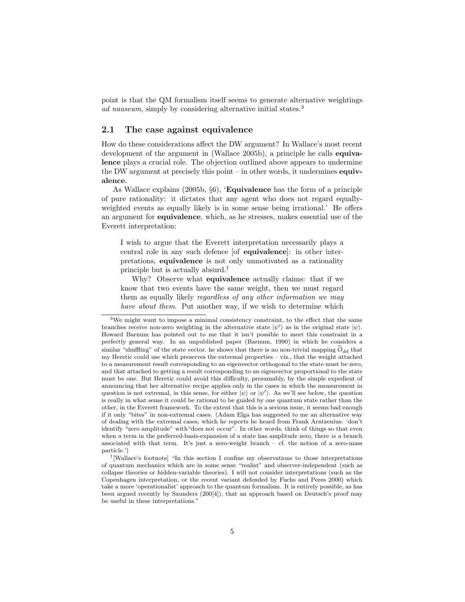point is that the QM formalism itself seems to generate alternative weightings ad nauseum, simply by considering alternative initial states.<sup>[3](#page-4-0)</sup>

#### 2.1 The case against equivalence

How do these considerations affect the DW argument? In Wallace's most recent development of the argument in (Wallace 2005b), a principle he calls **equiva**lence plays a crucial role. The objection outlined above appears to undermine the DW argument at precisely this point – in other words, it undermines equivalence.

As Wallace explains  $(2005b, \S6)$ , '**Equivalence** has the form of a principle of pure rationality: it dictates that any agent who does not regard equallyweighted events as equally likely is in some sense being irrational.' He offers an argument for equivalence, which, as he stresses, makes essential use of the Everett interpretation:

I wish to argue that the Everett interpretation necessarily plays a central role in any such defence [of equivalence]: in other interpretations, equivalence is not only unmotivated as a rationality principle but is actually absurd.[†](#page-4-1)

Why? Observe what equivalence actually claims: that if we know that two events have the same weight, then we must regard them as equally likely regardless of any other information we may have about them. Put another way, if we wish to determine which

<span id="page-4-0"></span><sup>3</sup>We might want to impose a minimal consistency constraint, to the effect that the same branches receive non-zero weighting in the alternative state  $|\psi'\rangle$  as in the original state  $|\psi\rangle$ . Howard Barnum has pointed out to me that it isn't possible to meet this constraint in a perfectly general way. In an unpublished paper (Barnum, 1990) in which he considers a similar "shuffling" of the state vector, he shows that there is no non-trivial mapping  $\hat{O}_{dd}$  that my Heretic could use which preserves the extremal properties – viz., that the weight attached to a measurement result corresponding to an eigenvector orthogonal to the state must be zero, and that attached to getting a result corresponding to an eigenvector proportional to the state must be one. But Heretic could avoid this difficulty, presumably, by the simple expedient of announcing that her alternative recipe applies only in the cases in which the measurement in question is not extremal, in this sense, for either  $|\psi\rangle$  or  $|\psi'\rangle$ . As we'll see below, the question is really in what sense it could be rational to be guided by one quantum state rather than the other, in the Everett framework. To the extent that this is a serious issue, it seems bad enough if it only "bites" in non-extremal cases. (Adam Elga has suggested to me an alternative way of dealing with the extremal cases, which he reports he heard from Frank Arntzenius: 'don't identify "zero amplitude" with"does not occur". In other words, think of things so that even when a term in the preferred-basis-expansion of a state has amplitude zero, there is a branch associated with that term. It's just a zero-weight branch  $-$  cf. the notion of a zero-mass particle.')

<span id="page-4-1"></span><sup>†</sup> [Wallace's footnote] "In this section I confine my observations to those interpretations of quantum mechanics which are in some sense "realist" and observer-independent (such as collapse theories or hidden-variable theories). I will not consider interpretations (such as the Copenhagen interpretation, or the recent variant defended by Fuchs and Peres 2000) which take a more 'operationalist' approach to the quantum formalism. It is entirely possible, as has been argued recently by Saunders (200[4]), that an approach based on Deutsch's proof may be useful in these interpretations."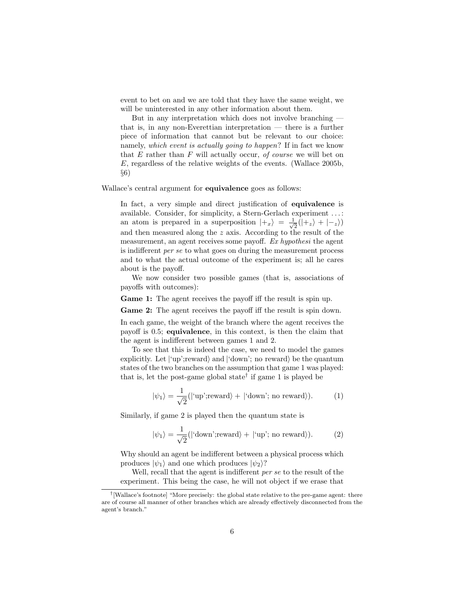event to bet on and we are told that they have the same weight, we will be uninterested in any other information about them.

But in any interpretation which does not involve branching that is, in any non-Everettian interpretation — there is a further piece of information that cannot but be relevant to our choice: namely, which event is actually going to happen? If in fact we know that  $E$  rather than  $F$  will actually occur, of course we will bet on E, regardless of the relative weights of the events. (Wallace 2005b, §6)

Wallace's central argument for **equivalence** goes as follows:

In fact, a very simple and direct justification of equivalence is available. Consider, for simplicity, a Stern-Gerlach experiment . . . : an atom is prepared in a superposition  $|+_{x}\rangle = \frac{1}{\sqrt{2}}$  $\frac{1}{2}(|+_z\rangle + |-_z\rangle)$ and then measured along the z axis. According to the result of the measurement, an agent receives some payoff. Ex hypothesi the agent is indifferent per se to what goes on during the measurement process and to what the actual outcome of the experiment is; all he cares about is the payoff.

We now consider two possible games (that is, associations of payoffs with outcomes):

Game 1: The agent receives the payoff iff the result is spin up.

Game 2: The agent receives the payoff iff the result is spin down.

In each game, the weight of the branch where the agent receives the payoff is 0.5; equivalence, in this context, is then the claim that the agent is indifferent between games 1 and 2.

To see that this is indeed the case, we need to model the games explicitly. Let  $|{\rm up}:$ reward $\rangle$  and  $|{\rm down}:$  no reward $\rangle$  be the quantum states of the two branches on the assumption that game 1 was played: that is, let the post-game global state[†](#page-5-0) if game 1 is played be

$$
|\psi_1\rangle = \frac{1}{\sqrt{2}} (|\text{`up'}; \text{reward}\rangle + |\text{`down'}; \text{no reward}\rangle). \tag{1}
$$

Similarly, if game 2 is played then the quantum state is

$$
|\psi_1\rangle = \frac{1}{\sqrt{2}} (|\text{'down'}; \text{reward}\rangle + |\text{`up'}; \text{no reward}\rangle). \tag{2}
$$

Why should an agent be indifferent between a physical process which produces  $|\psi_1\rangle$  and one which produces  $|\psi_2\rangle$ ?

Well, recall that the agent is indifferent per se to the result of the experiment. This being the case, he will not object if we erase that

<span id="page-5-0"></span><sup>†</sup> [Wallace's footnote] "More precisely: the global state relative to the pre-game agent: there are of course all manner of other branches which are already effectively disconnected from the agent's branch."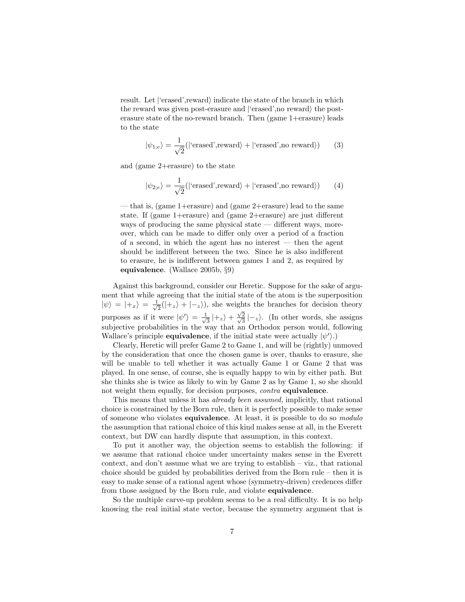result. Let  $\langle$  erased', reward $\rangle$  indicate the state of the branch in which the reward was given post-erasure and  $\langle$  erased', no reward $\rangle$  the posterasure state of the no-reward branch. Then (game 1+erasure) leads to the state

$$
|\psi_{1,e}\rangle = \frac{1}{\sqrt{2}}(|\text{'erased',reward}\rangle + |\text{'erased',no reward}\rangle)
$$
 (3)

and (game 2+erasure) to the state

$$
|\psi_{2;e}\rangle = \frac{1}{\sqrt{2}}(|\text{'erased',reward}\rangle + |\text{'erased',no reward}\rangle) \qquad (4)
$$

— that is, (game 1+erasure) and (game 2+erasure) lead to the same state. If (game 1+erasure) and (game 2+erasure) are just different ways of producing the same physical state — different ways, moreover, which can be made to differ only over a period of a fraction of a second, in which the agent has no interest — then the agent should be indifferent between the two. Since he is also indifferent to erasure, he is indifferent between games 1 and 2, as required by equivalence. (Wallace 2005b, §9)

Against this background, consider our Heretic. Suppose for the sake of argument that while agreeing that the initial state of the atom is the superposition  $|\psi\rangle = |+_{x}\rangle = \frac{1}{\sqrt{2}}$  $\frac{1}{2}(|+_z\rangle + |-_z\rangle)$ , she weights the branches for decision theory purposes as if it were  $|\psi'\rangle = \frac{1}{\sqrt{2}}$  $\frac{1}{3}|+_z\rangle + \frac{\sqrt{2}}{\sqrt{2}}$  $\frac{\sqrt{2}}{2}$  $\frac{2}{3} \left| -z \right\rangle$ . (In other words, she assigns subjective probabilities in the way that an Orthodox person would, following Wallace's principle **equivalence**, if the initial state were actually  $|\psi'\rangle$ .)

Clearly, Heretic will prefer Game 2 to Game 1, and will be (rightly) unmoved by the consideration that once the chosen game is over, thanks to erasure, she will be unable to tell whether it was actually Game 1 or Game 2 that was played. In one sense, of course, she is equally happy to win by either path. But she thinks she is twice as likely to win by Game 2 as by Game 1, so she should not weight them equally, for decision purposes, *contra* equivalence.

This means that unless it has *already been assumed*, implicitly, that rational choice is constrained by the Born rule, then it is perfectly possible to make sense of someone who violates equivalence. At least, it is possible to do so modulo the assumption that rational choice of this kind makes sense at all, in the Everett context, but DW can hardly dispute that assumption, in this context.

To put it another way, the objection seems to establish the following: if we assume that rational choice under uncertainty makes sense in the Everett context, and don't assume what we are trying to establish – viz., that rational choice should be guided by probabilities derived from the Born rule – then it is easy to make sense of a rational agent whose (symmetry-driven) credences differ from those assigned by the Born rule, and violate equivalence.

So the multiple carve-up problem seems to be a real difficulty. It is no help knowing the real initial state vector, because the symmetry argument that is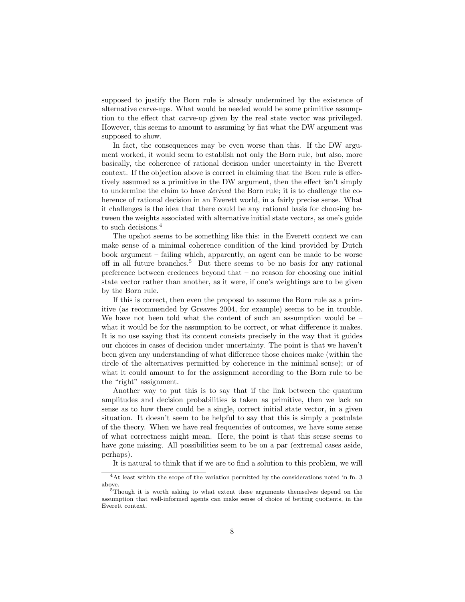supposed to justify the Born rule is already undermined by the existence of alternative carve-ups. What would be needed would be some primitive assumption to the effect that carve-up given by the real state vector was privileged. However, this seems to amount to assuming by fiat what the DW argument was supposed to show.

In fact, the consequences may be even worse than this. If the DW argument worked, it would seem to establish not only the Born rule, but also, more basically, the coherence of rational decision under uncertainty in the Everett context. If the objection above is correct in claiming that the Born rule is effectively assumed as a primitive in the DW argument, then the effect isn't simply to undermine the claim to have derived the Born rule; it is to challenge the coherence of rational decision in an Everett world, in a fairly precise sense. What it challenges is the idea that there could be any rational basis for choosing between the weights associated with alternative initial state vectors, as one's guide to such decisions.<sup>[4](#page-7-0)</sup>

The upshot seems to be something like this: in the Everett context we can make sense of a minimal coherence condition of the kind provided by Dutch book argument – failing which, apparently, an agent can be made to be worse off in all future branches.[5](#page-7-1) But there seems to be no basis for any rational preference between credences beyond that – no reason for choosing one initial state vector rather than another, as it were, if one's weightings are to be given by the Born rule.

If this is correct, then even the proposal to assume the Born rule as a primitive (as recommended by Greaves 2004, for example) seems to be in trouble. We have not been told what the content of such an assumption would be – what it would be for the assumption to be correct, or what difference it makes. It is no use saying that its content consists precisely in the way that it guides our choices in cases of decision under uncertainty. The point is that we haven't been given any understanding of what difference those choices make (within the circle of the alternatives permitted by coherence in the minimal sense); or of what it could amount to for the assignment according to the Born rule to be the "right" assignment.

Another way to put this is to say that if the link between the quantum amplitudes and decision probabilities is taken as primitive, then we lack an sense as to how there could be a single, correct initial state vector, in a given situation. It doesn't seem to be helpful to say that this is simply a postulate of the theory. When we have real frequencies of outcomes, we have some sense of what correctness might mean. Here, the point is that this sense seems to have gone missing. All possibilities seem to be on a par (extremal cases aside, perhaps).

<span id="page-7-0"></span>It is natural to think that if we are to find a solution to this problem, we will

<sup>4</sup>At least within the scope of the variation permitted by the considerations noted in fn. 3 above.

<span id="page-7-1"></span><sup>5</sup>Though it is worth asking to what extent these arguments themselves depend on the assumption that well-informed agents can make sense of choice of betting quotients, in the Everett context.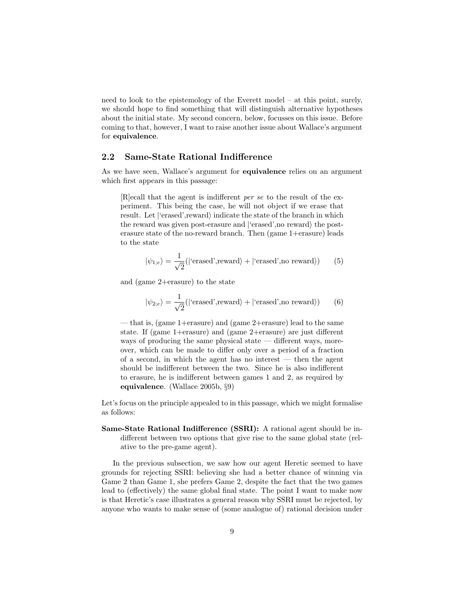need to look to the epistemology of the Everett model – at this point, surely, we should hope to find something that will distinguish alternative hypotheses about the initial state. My second concern, below, focusses on this issue. Before coming to that, however, I want to raise another issue about Wallace's argument for equivalence.

#### 2.2 Same-State Rational Indifference

As we have seen, Wallace's argument for equivalence relies on an argument which first appears in this passage:

[R]ecall that the agent is indifferent per se to the result of the experiment. This being the case, he will not object if we erase that result. Let  $\langle$  erased', reward $\rangle$  indicate the state of the branch in which the reward was given post-erasure and  $\lvert$  erased', no reward) the posterasure state of the no-reward branch. Then (game 1+erasure) leads to the state

$$
|\psi_{1;e}\rangle = \frac{1}{\sqrt{2}}(|\text{'erased',reward}\rangle + |\text{'erased',no reward}\rangle)
$$
 (5)

and (game 2+erasure) to the state

$$
|\psi_{2,e}\rangle = \frac{1}{\sqrt{2}}(|\text{'erased',reward}\rangle + |\text{'erased',no reward}\rangle)
$$
 (6)

— that is, (game 1+erasure) and (game 2+erasure) lead to the same state. If (game 1+erasure) and (game 2+erasure) are just different ways of producing the same physical state — different ways, moreover, which can be made to differ only over a period of a fraction of a second, in which the agent has no interest — then the agent should be indifferent between the two. Since he is also indifferent to erasure, he is indifferent between games 1 and 2, as required by equivalence. (Wallace 2005b, §9)

Let's focus on the principle appealed to in this passage, which we might formalise as follows:

Same-State Rational Indifference (SSRI): A rational agent should be indifferent between two options that give rise to the same global state (relative to the pre-game agent).

In the previous subsection, we saw how our agent Heretic seemed to have grounds for rejecting SSRI: believing she had a better chance of winning via Game 2 than Game 1, she prefers Game 2, despite the fact that the two games lead to (effectively) the same global final state. The point I want to make now is that Heretic's case illustrates a general reason why SSRI must be rejected, by anyone who wants to make sense of (some analogue of) rational decision under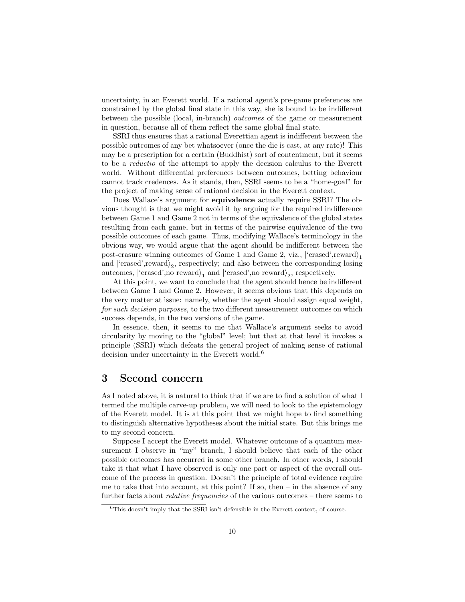uncertainty, in an Everett world. If a rational agent's pre-game preferences are constrained by the global final state in this way, she is bound to be indifferent between the possible (local, in-branch) outcomes of the game or measurement in question, because all of them reflect the same global final state.

SSRI thus ensures that a rational Everettian agent is indifferent between the possible outcomes of any bet whatsoever (once the die is cast, at any rate)! This may be a prescription for a certain (Buddhist) sort of contentment, but it seems to be a reductio of the attempt to apply the decision calculus to the Everett world. Without differential preferences between outcomes, betting behaviour cannot track credences. As it stands, then, SSRI seems to be a "home-goal" for the project of making sense of rational decision in the Everett context.

Does Wallace's argument for equivalence actually require SSRI? The obvious thought is that we might avoid it by arguing for the required indifference between Game 1 and Game 2 not in terms of the equivalence of the global states resulting from each game, but in terms of the pairwise equivalence of the two possible outcomes of each game. Thus, modifying Wallace's terminology in the obvious way, we would argue that the agent should be indifferent between the post-erasure winning outcomes of Game 1 and Game 2, viz.,  $|\text{'erased'}, \text{reward}\rangle_1$ and  $\langle$  erased', reward $\rangle_2$ , respectively; and also between the corresponding losing outcomes,  $\vert$ 'erased',no reward $\rangle_1$  and  $\vert$ 'erased',no reward $\rangle_2$ , respectively.

At this point, we want to conclude that the agent should hence be indifferent between Game 1 and Game 2. However, it seems obvious that this depends on the very matter at issue: namely, whether the agent should assign equal weight, for such decision purposes, to the two different measurement outcomes on which success depends, in the two versions of the game.

In essence, then, it seems to me that Wallace's argument seeks to avoid circularity by moving to the "global" level; but that at that level it invokes a principle (SSRI) which defeats the general project of making sense of rational decision under uncertainty in the Everett world.<sup>[6](#page-9-0)</sup>

### 3 Second concern

As I noted above, it is natural to think that if we are to find a solution of what I termed the multiple carve-up problem, we will need to look to the epistemology of the Everett model. It is at this point that we might hope to find something to distinguish alternative hypotheses about the initial state. But this brings me to my second concern.

Suppose I accept the Everett model. Whatever outcome of a quantum measurement I observe in "my" branch, I should believe that each of the other possible outcomes has occurred in some other branch. In other words, I should take it that what I have observed is only one part or aspect of the overall outcome of the process in question. Doesn't the principle of total evidence require me to take that into account, at this point? If so, then  $-$  in the absence of any further facts about *relative frequencies* of the various outcomes – there seems to

<span id="page-9-0"></span> $6$ This doesn't imply that the SSRI isn't defensible in the Everett context, of course.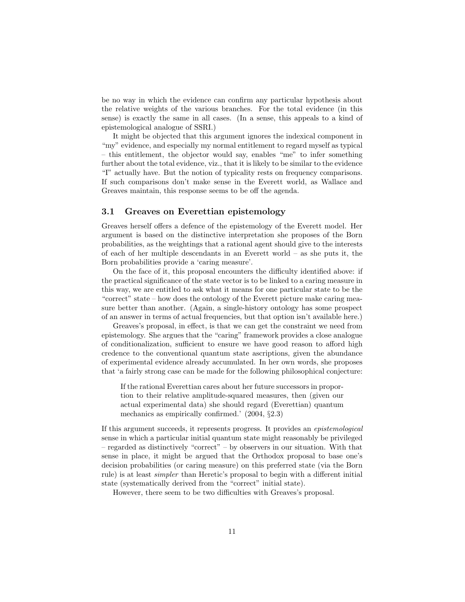be no way in which the evidence can confirm any particular hypothesis about the relative weights of the various branches. For the total evidence (in this sense) is exactly the same in all cases. (In a sense, this appeals to a kind of epistemological analogue of SSRI.)

It might be objected that this argument ignores the indexical component in "my" evidence, and especially my normal entitlement to regard myself as typical – this entitlement, the objector would say, enables "me" to infer something further about the total evidence, viz., that it is likely to be similar to the evidence "I" actually have. But the notion of typicality rests on frequency comparisons. If such comparisons don't make sense in the Everett world, as Wallace and Greaves maintain, this response seems to be off the agenda.

#### 3.1 Greaves on Everettian epistemology

Greaves herself offers a defence of the epistemology of the Everett model. Her argument is based on the distinctive interpretation she proposes of the Born probabilities, as the weightings that a rational agent should give to the interests of each of her multiple descendants in an Everett world – as she puts it, the Born probabilities provide a 'caring measure'.

On the face of it, this proposal encounters the difficulty identified above: if the practical significance of the state vector is to be linked to a caring measure in this way, we are entitled to ask what it means for one particular state to be the "correct" state – how does the ontology of the Everett picture make caring measure better than another. (Again, a single-history ontology has some prospect of an answer in terms of actual frequencies, but that option isn't available here.)

Greaves's proposal, in effect, is that we can get the constraint we need from epistemology. She argues that the "caring" framework provides a close analogue of conditionalization, sufficient to ensure we have good reason to afford high credence to the conventional quantum state ascriptions, given the abundance of experimental evidence already accumulated. In her own words, she proposes that 'a fairly strong case can be made for the following philosophical conjecture:

If the rational Everettian cares about her future successors in proportion to their relative amplitude-squared measures, then (given our actual experimental data) she should regard (Everettian) quantum mechanics as empirically confirmed.' (2004, §2.3)

If this argument succeeds, it represents progress. It provides an epistemological sense in which a particular initial quantum state might reasonably be privileged – regarded as distinctively "correct" – by observers in our situation. With that sense in place, it might be argued that the Orthodox proposal to base one's decision probabilities (or caring measure) on this preferred state (via the Born rule) is at least simpler than Heretic's proposal to begin with a different initial state (systematically derived from the "correct" initial state).

However, there seem to be two difficulties with Greaves's proposal.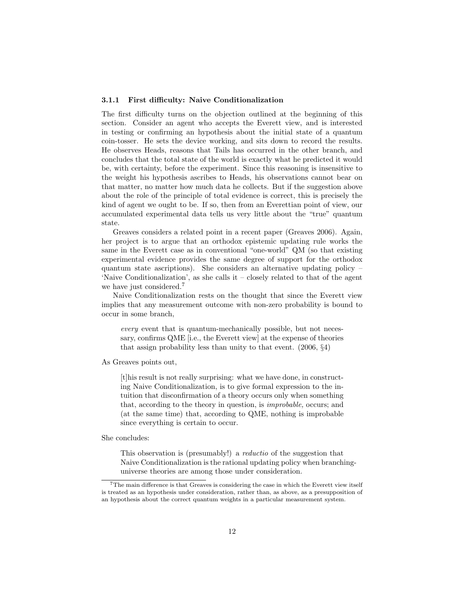#### 3.1.1 First difficulty: Naive Conditionalization

The first difficulty turns on the objection outlined at the beginning of this section. Consider an agent who accepts the Everett view, and is interested in testing or confirming an hypothesis about the initial state of a quantum coin-tosser. He sets the device working, and sits down to record the results. He observes Heads, reasons that Tails has occurred in the other branch, and concludes that the total state of the world is exactly what he predicted it would be, with certainty, before the experiment. Since this reasoning is insensitive to the weight his hypothesis ascribes to Heads, his observations cannot bear on that matter, no matter how much data he collects. But if the suggestion above about the role of the principle of total evidence is correct, this is precisely the kind of agent we ought to be. If so, then from an Everettian point of view, our accumulated experimental data tells us very little about the "true" quantum state.

Greaves considers a related point in a recent paper (Greaves 2006). Again, her project is to argue that an orthodox epistemic updating rule works the same in the Everett case as in conventional "one-world" QM (so that existing experimental evidence provides the same degree of support for the orthodox quantum state ascriptions). She considers an alternative updating policy – 'Naive Conditionalization', as she calls it – closely related to that of the agent we have just considered.<sup>[7](#page-11-0)</sup>

Naive Conditionalization rests on the thought that since the Everett view implies that any measurement outcome with non-zero probability is bound to occur in some branch,

every event that is quantum-mechanically possible, but not necessary, confirms QME [i.e., the Everett view] at the expense of theories that assign probability less than unity to that event. (2006, §4)

As Greaves points out,

[t]his result is not really surprising: what we have done, in constructing Naive Conditionalization, is to give formal expression to the intuition that disconfirmation of a theory occurs only when something that, according to the theory in question, is improbable, occurs; and (at the same time) that, according to QME, nothing is improbable since everything is certain to occur.

She concludes:

This observation is (presumably!) a reductio of the suggestion that Naive Conditionalization is the rational updating policy when branchinguniverse theories are among those under consideration.

<span id="page-11-0"></span> ${\rm ^7The}$  main difference is that Greaves is considering the case in which the Everett view itself is treated as an hypothesis under consideration, rather than, as above, as a presupposition of an hypothesis about the correct quantum weights in a particular measurement system.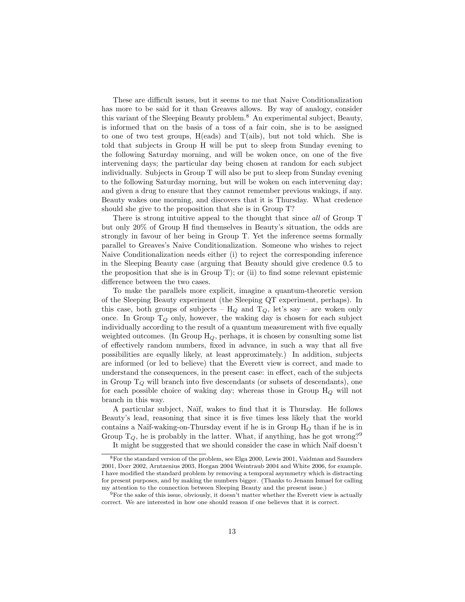These are difficult issues, but it seems to me that Naive Conditionalization has more to be said for it than Greaves allows. By way of analogy, consider this variant of the Sleeping Beauty problem.[8](#page-12-0) An experimental subject, Beauty, is informed that on the basis of a toss of a fair coin, she is to be assigned to one of two test groups, H(eads) and T(ails), but not told which. She is told that subjects in Group H will be put to sleep from Sunday evening to the following Saturday morning, and will be woken once, on one of the five intervening days; the particular day being chosen at random for each subject individually. Subjects in Group T will also be put to sleep from Sunday evening to the following Saturday morning, but will be woken on each intervening day; and given a drug to ensure that they cannot remember previous wakings, if any. Beauty wakes one morning, and discovers that it is Thursday. What credence should she give to the proposition that she is in Group T?

There is strong intuitive appeal to the thought that since all of Group T but only 20% of Group H find themselves in Beauty's situation, the odds are strongly in favour of her being in Group T. Yet the inference seems formally parallel to Greaves's Naive Conditionalization. Someone who wishes to reject Naive Conditionalization needs either (i) to reject the corresponding inference in the Sleeping Beauty case (arguing that Beauty should give credence 0.5 to the proposition that she is in Group T); or (ii) to find some relevant epistemic difference between the two cases.

To make the parallels more explicit, imagine a quantum-theoretic version of the Sleeping Beauty experiment (the Sleeping QT experiment, perhaps). In this case, both groups of subjects –  $H_Q$  and  $T_Q$ , let's say – are woken only once. In Group  $T_Q$  only, however, the waking day is chosen for each subject individually according to the result of a quantum measurement with five equally weighted outcomes. (In Group  $H<sub>O</sub>$ , perhaps, it is chosen by consulting some list of effectively random numbers, fixed in advance, in such a way that all five possibilities are equally likely, at least approximately.) In addition, subjects are informed (or led to believe) that the Everett view is correct, and made to understand the consequences, in the present case: in effect, each of the subjects in Group  $T_Q$  will branch into five descendants (or subsets of descendants), one for each possible choice of waking day; whereas those in Group  $H_Q$  will not branch in this way.

A particular subject, Naïf, wakes to find that it is Thursday. He follows Beauty's lead, reasoning that since it is five times less likely that the world contains a Naïf-waking-on-Thursday event if he is in Group  $H_Q$  than if he is in Group  $T_Q$ , he is probably in the latter. What, if anything, has he got wrong?<sup>[9](#page-12-1)</sup>

<span id="page-12-0"></span>It might be suggested that we should consider the case in which Naïf doesn't

<sup>8</sup>For the standard version of the problem, see Elga 2000, Lewis 2001, Vaidman and Saunders 2001, Dorr 2002, Arntzenius 2003, Horgan 2004 Weintraub 2004 and White 2006, for example. I have modified the standard problem by removing a temporal asymmetry which is distracting for present purposes, and by making the numbers bigger. (Thanks to Jenann Ismael for calling my attention to the connection between Sleeping Beauty and the present issue.)

<span id="page-12-1"></span> $9$ For the sake of this issue, obviously, it doesn't matter whether the Everett view is actually correct. We are interested in how one should reason if one believes that it is correct.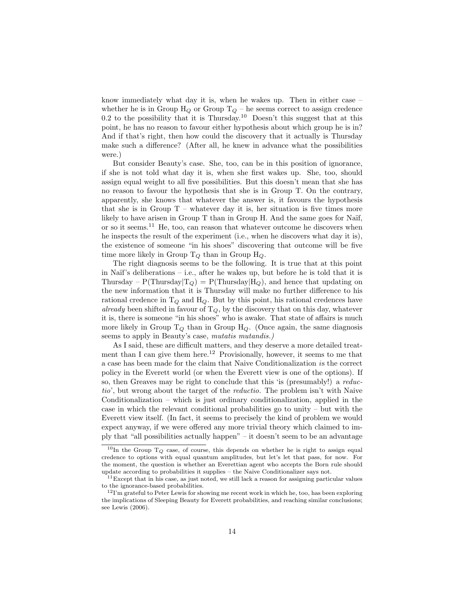know immediately what day it is, when he wakes up. Then in either case – whether he is in Group  $H_Q$  or Group  $T_Q$  – he seems correct to assign credence 0.2 to the possibility that it is Thursday.<sup>[10](#page-13-0)</sup> Doesn't this suggest that at this point, he has no reason to favour either hypothesis about which group he is in? And if that's right, then how could the discovery that it actually is Thursday make such a difference? (After all, he knew in advance what the possibilities were.)

But consider Beauty's case. She, too, can be in this position of ignorance, if she is not told what day it is, when she first wakes up. She, too, should assign equal weight to all five possibilities. But this doesn't mean that she has no reason to favour the hypothesis that she is in Group T. On the contrary, apparently, she knows that whatever the answer is, it favours the hypothesis that she is in Group  $T$  – whatever day it is, her situation is five times more likely to have arisen in Group T than in Group H. And the same goes for Naïf, or so it seems.[11](#page-13-1) He, too, can reason that whatever outcome he discovers when he inspects the result of the experiment (i.e., when he discovers what day it is), the existence of someone "in his shoes" discovering that outcome will be five time more likely in Group  $T_Q$  than in Group  $H_Q$ .

The right diagnosis seems to be the following. It is true that at this point in Naïf's deliberations – i.e., after he wakes up, but before he is told that it is Thursday – P(Thursday $|T_Q\rangle = P(T$ hursday $|H_Q\rangle$ , and hence that updating on the new information that it is Thursday will make no further difference to his rational credence in  $T_Q$  and  $H_Q$ . But by this point, his rational credences have already been shifted in favour of  $T_Q$ , by the discovery that on this day, whatever it is, there is someone "in his shoes" who is awake. That state of affairs is much more likely in Group  $T_Q$  than in Group  $H_Q$ . (Once again, the same diagnosis seems to apply in Beauty's case, *mutatis mutandis.*)

As I said, these are difficult matters, and they deserve a more detailed treat-ment than I can give them here.<sup>[12](#page-13-2)</sup> Provisionally, however, it seems to me that a case has been made for the claim that Naive Conditionalization is the correct policy in the Everett world (or when the Everett view is one of the options). If so, then Greaves may be right to conclude that this 'is (presumably!) a reductio', but wrong about the target of the reductio. The problem isn't with Naive Conditionalization – which is just ordinary conditionalization, applied in the case in which the relevant conditional probabilities go to unity – but with the Everett view itself. (In fact, it seems to precisely the kind of problem we would expect anyway, if we were offered any more trivial theory which claimed to imply that "all possibilities actually happen" – it doesn't seem to be an advantage

<span id="page-13-0"></span><sup>&</sup>lt;sup>10</sup>In the Group  $T_Q$  case, of course, this depends on whether he is right to assign equal credence to options with equal quantum amplitudes, but let's let that pass, for now. For the moment, the question is whether an Everettian agent who accepts the Born rule should update according to probabilities it supplies – the Naive Conditionalizer says not.

<span id="page-13-1"></span><sup>&</sup>lt;sup>11</sup> Except that in his case, as just noted, we still lack a reason for assigning particular values to the ignorance-based probabilities.

<span id="page-13-2"></span><sup>&</sup>lt;sup>12</sup>I'm grateful to Peter Lewis for showing me recent work in which he, too, has been exploring the implications of Sleeping Beauty for Everett probabilities, and reaching similar conclusions; see Lewis (2006).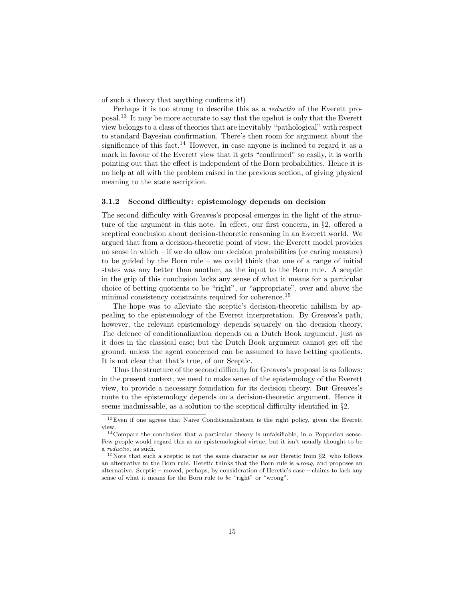of such a theory that anything confirms it!)

Perhaps it is too strong to describe this as a reductio of the Everett proposal.[13](#page-14-0) It may be more accurate to say that the upshot is only that the Everett view belongs to a class of theories that are inevitably "pathological" with respect to standard Bayesian confirmation. There's then room for argument about the significance of this fact.<sup>[14](#page-14-1)</sup> However, in case anyone is inclined to regard it as a mark in favour of the Everett view that it gets "confirmed" so easily, it is worth pointing out that the effect is independent of the Born probabilities. Hence it is no help at all with the problem raised in the previous section, of giving physical meaning to the state ascription.

#### 3.1.2 Second difficulty: epistemology depends on decision

The second difficulty with Greaves's proposal emerges in the light of the structure of the argument in this note. In effect, our first concern, in §2, offered a sceptical conclusion about decision-theoretic reasoning in an Everett world. We argued that from a decision-theoretic point of view, the Everett model provides no sense in which – if we do allow our decision probabilities (or caring measure) to be guided by the Born rule – we could think that one of a range of initial states was any better than another, as the input to the Born rule. A sceptic in the grip of this conclusion lacks any sense of what it means for a particular choice of betting quotients to be "right", or "appropriate", over and above the minimal consistency constraints required for coherence.<sup>[15](#page-14-2)</sup>

The hope was to alleviate the sceptic's decision-theoretic nihilism by appealing to the epistemology of the Everett interpretation. By Greaves's path, however, the relevant epistemology depends squarely on the decision theory. The defence of conditionalization depends on a Dutch Book argument, just as it does in the classical case; but the Dutch Book argument cannot get off the ground, unless the agent concerned can be assumed to have betting quotients. It is not clear that that's true, of our Sceptic.

Thus the structure of the second difficulty for Greaves's proposal is as follows: in the present context, we need to make sense of the epistemology of the Everett view, to provide a necessary foundation for its decision theory. But Greaves's route to the epistemology depends on a decision-theoretic argument. Hence it seems inadmissable, as a solution to the sceptical difficulty identified in §2.

<span id="page-14-0"></span><sup>13</sup>Even if one agrees that Naive Conditionalization is the right policy, given the Everett view.

<span id="page-14-1"></span><sup>14</sup>Compare the conclusion that a particular theory is unfalsifiable, in a Popperian sense. Few people would regard this as an epistemological virtue, but it isn't usually thought to be a reductio, as such.

<span id="page-14-2"></span><sup>&</sup>lt;sup>15</sup>Note that such a sceptic is not the same character as our Heretic from  $\S$ 2, who follows an alternative to the Born rule. Heretic thinks that the Born rule is wrong, and proposes an alternative. Sceptic – moved, perhaps, by consideration of Heretic's case – claims to lack any sense of what it means for the Born rule to be "right" or "wrong".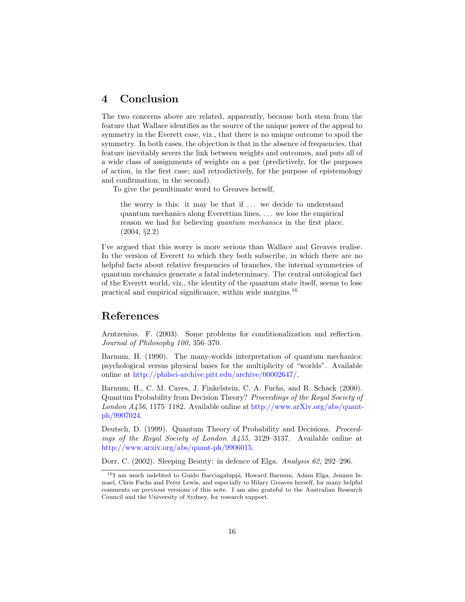# 4 Conclusion

The two concerns above are related, apparently, because both stem from the feature that Wallace identifies as the source of the unique power of the appeal to symmetry in the Everett case, viz., that there is no unique outcome to spoil the symmetry. In both cases, the objection is that in the absence of frequencies, that feature inevitably severs the link between weights and outcomes, and puts all of a wide class of assignments of weights on a par (predictively, for the purposes of action, in the first case; and retrodictively, for the purpose of epistemology and confirmation, in the second).

To give the penultimate word to Greaves herself,

the worry is this: it may be that if  $\ldots$  we decide to understand quantum mechanics along Everettian lines, . . . we lose the empirical reason we had for believing quantum mechanics in the first place. (2004, §2.2)

I've argued that this worry is more serious than Wallace and Greaves realise. In the version of Everett to which they both subscribe, in which there are no helpful facts about relative frequencies of branches, the internal symmetries of quantum mechanics generate a fatal indeterminacy. The central ontological fact of the Everett world, viz., the identity of the quantum state itself, seems to lose practical and empirical significance, within wide margins.[16](#page-15-0)

## References

Arntzenius. F. (2003). Some problems for conditionalization and reflection. Journal of Philosophy 100, 356–370.

Barnum, H. (1990). The many-worlds interpretation of quantum mechanics: psychological versus physical bases for the multiplicity of "worlds". Available online at [http://philsci-archive.pitt.edu/archive/00002647/.](http://philsci-archive.pitt.edu/archive/00002647/)

Barnum, H., C. M. Caves, J. Finkelstein, C. A. Fuchs, and R. Schack (2000). Quantum Probability from Decision Theory? Proceedings of the Royal Society of London  $A/456$ , 1175–1182. Available online at [http://www.arXiv.org/abs/quant](http://www.arXiv.org/abs/quant-ph/9907024)[ph/9907024.](http://www.arXiv.org/abs/quant-ph/9907024)

Deutsch, D. (1999). Quantum Theory of Probability and Decisions. Proceedings of the Royal Society of London A455, 3129–3137. Available online at [http://www.arxiv.org/abs/quant-ph/9906015.](http://www.arxiv.org/abs/quant-ph/9906015)

Dorr, C. (2002). Sleeping Beauty: in defence of Elga. Analysis 62, 292–296.

<span id="page-15-0"></span><sup>16</sup>I am much indebted to Guido Bacciagaluppi, Howard Barnum, Adam Elga, Jenann Ismael, Chris Fuchs and Peter Lewis, and especially to Hilary Greaves herself, for many helpful comments on previous versions of this note. I am also grateful to the Australian Research Council and the University of Sydney, for research support.